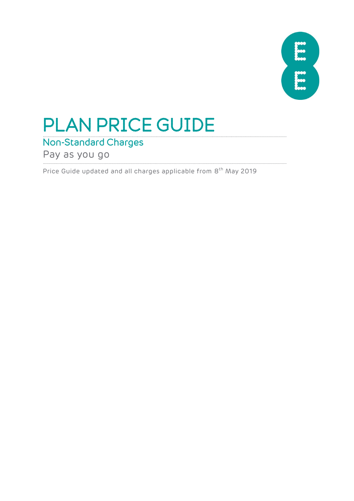

# PLAN PRICE GUIDE

### Non-Standard Charges

Pay as you go

Price Guide updated and all charges applicable from 8<sup>th</sup> May 2019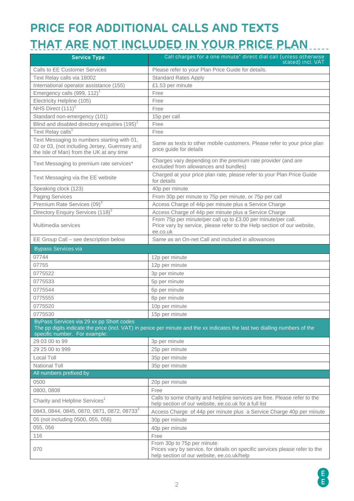# **PRICE FOR ADDITIONAL CALLS AND TEXTS THAT ARE NOT INCLUDED IN YOUR PRICE PLAN**

| <b>Service Type</b>                                                                                                                      | Call charges for a one minute <sup>2</sup> direct dial call (unless otherwise<br>stated) incl. VAT                                                       |
|------------------------------------------------------------------------------------------------------------------------------------------|----------------------------------------------------------------------------------------------------------------------------------------------------------|
| <b>Calls to EE Customer Services</b>                                                                                                     | Please refer to your Plan Price Guide for details.                                                                                                       |
| Text Relay calls via 18002                                                                                                               | <b>Standard Rates Apply</b>                                                                                                                              |
| International operator assistance (155)                                                                                                  | £1.53 per minute                                                                                                                                         |
| Emergency calls $(999, 112)^1$                                                                                                           | Free                                                                                                                                                     |
| Electricity Helpline (105)                                                                                                               | Free                                                                                                                                                     |
| NHS Direct (111) <sup>1</sup>                                                                                                            | Free                                                                                                                                                     |
| Standard non-emergency (101)                                                                                                             | 15p per call                                                                                                                                             |
| Blind and disabled directory enquiries (195) <sup>1</sup>                                                                                | Free                                                                                                                                                     |
| Text Relay calls <sup>1</sup>                                                                                                            | Free                                                                                                                                                     |
| Text Messaging to numbers starting with 01,<br>02 or 03, (not including Jersey, Guernsey and<br>the Isle of Man) from the UK at any time | Same as texts to other mobile customers. Please refer to your price plan<br>price guide for details                                                      |
| Text Messaging to premium rate services*                                                                                                 | Charges vary depending on the premium rate provider (and are<br>excluded from allowances and bundles)                                                    |
| Text Messaging via the EE website                                                                                                        | Charged at your price plan rate, please refer to your Plan Price Guide<br>for details                                                                    |
| Speaking clock (123)                                                                                                                     | 40p per minute                                                                                                                                           |
| <b>Paging Services</b>                                                                                                                   | From 30p per minute to 75p per minute, or 75p per call                                                                                                   |
| Premium Rate Services (09) <sup>3</sup>                                                                                                  | Access Charge of 44p per minute plus a Service Charge                                                                                                    |
| Directory Enquiry Services (118) <sup>3</sup>                                                                                            | Access Charge of 44p per minute plus a Service Charge                                                                                                    |
| Multimedia services                                                                                                                      | From 75p per minute/per call up to £3.00 per minute/per call.<br>Price vary by service, please refer to the Help section of our website,<br>ee.co.uk     |
| EE Group Call - see description below                                                                                                    | Same as an On-net Call and included in allowances                                                                                                        |
| <b>Bypass Services via</b>                                                                                                               |                                                                                                                                                          |
| 07744                                                                                                                                    | 12p per minute                                                                                                                                           |
| 07755                                                                                                                                    | 12p per minute                                                                                                                                           |
| 0775522                                                                                                                                  | 3p per minute                                                                                                                                            |
| 0775533                                                                                                                                  | 5p per minute                                                                                                                                            |
| 0775544                                                                                                                                  | 6p per minute                                                                                                                                            |
| 0775555                                                                                                                                  | 8p per minute                                                                                                                                            |
| 0775520                                                                                                                                  | 10p per minute                                                                                                                                           |
| 0775530                                                                                                                                  | 15p per minute                                                                                                                                           |
| ByPass Services via 29 xx pp Short codes<br>specific number. For example:                                                                | The pp digits indicate the price (incl. VAT) in pence per minute and the xx indicates the last two dialling numbers of the                               |
| 29 03 00 to 99                                                                                                                           | 3p per minute                                                                                                                                            |
| 29 25 00 to 999                                                                                                                          | 25p per minute                                                                                                                                           |
| Local Toll                                                                                                                               | 35p per minute                                                                                                                                           |
| <b>National Toll</b>                                                                                                                     | 35p per minute                                                                                                                                           |
| All numbers prefixed by                                                                                                                  |                                                                                                                                                          |
| 0500                                                                                                                                     | 20p per minute                                                                                                                                           |
| 0800, 0808                                                                                                                               | Free                                                                                                                                                     |
| Charity and Helpline Services <sup>1</sup>                                                                                               | Calls to some charity and helpline services are free. Please refer to the<br>help section of our website, ee.co.uk for a full list                       |
| 0843, 0844, 0845, 0870, 0871, 0872, 087333                                                                                               | Access Charge of 44p per minute plus a Service Charge 40p per minute                                                                                     |
| 05 (not including 0500, 055, 056)                                                                                                        | 30p per minute                                                                                                                                           |
| 055, 056                                                                                                                                 | 40p per minute                                                                                                                                           |
| 116                                                                                                                                      | Free                                                                                                                                                     |
| 070                                                                                                                                      | From 30p to 75p per minute<br>Prices vary by service, for details on specific services please refer to the<br>help section of our website, ee.co.uk/help |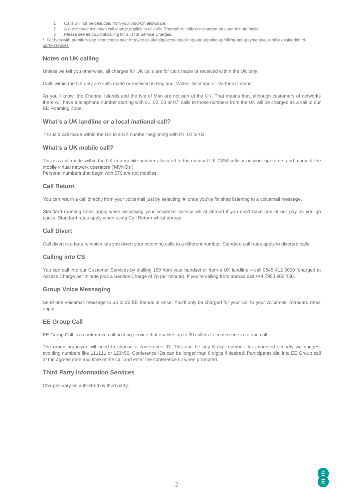- 1 Calls will not be deducted from your Add-On allowance.<br>2 A one minute minimum call charge applies to all calls. T
- 2 A one minute minimum call charge applies to all calls. Thereafter, calls are charged on a per minute basis.
- 3 Please see ee.co.uk/ukcalling for a list of Service Charges.

\* For help with premium rate short codes see[: http://ee.co.uk/help/accounts-billing-and-topping-up/billing-and-payment/your-bill-explained/third](http://ee.co.uk/help/accounts-billing-and-topping-up/billing-and-payment/your-bill-explained/third-party-services)[party-services](http://ee.co.uk/help/accounts-billing-and-topping-up/billing-and-payment/your-bill-explained/third-party-services)

#### **Notes on UK calling**

Unless we tell you otherwise, all charges for UK calls are for calls made or received within the UK only.

Calls within the UK only are calls made or received in England, Wales, Scotland or Northern Ireland.

As you'll know, the Channel Islands and the Isle of Man are not part of the UK. That means that, although customers of networks there will have a telephone number starting with 01, 02, 03 or 07, calls to those numbers from the UK will be charged as a call to our EE Roaming Zone.

#### **What's a UK landline or a local /national call?**

This is a call made within the UK to a UK number beginning with 01, 02 or 03.

#### **What's a UK mobile call?**

This is a call made within the UK to a mobile number allocated to the national UK GSM cellular network operators and many of the mobile virtual network operators ('MVNOs'). Personal numbers that begin with 070 are not mobiles.

#### **Call Return**

You can return a call directly from your voicemail just by selecting '#' once you've finished listening to a voicemail message.

Standard roaming rates apply when accessing your voicemail service whilst abroad if you don't have one of our pay as you go packs. Standard rates apply when using Call Return whilst abroad.

#### **Call Divert**

Call divert is a feature which lets you divert your incoming calls to a different number. Standard call rates apply to diverted calls.

#### **Calling into CS**

You can call into our Customer Services by dialling 150 from your handset or from a UK landline – call 0845 412 5000 (charged at Access Charge per minute plus a Service Charge of 7p per minute). If you're calling from abroad call +44 7953 966 150.

#### **Group Voice Messaging**

Send one voicemail message to up to 20 EE friends at once. You'll only be charged for your call to your voicemail. Standard rates apply.

#### **EE Group Call**

EE Group Call is a conference call hosting service that enables up to 20 callers to conference in to one call.

The group organizer will need to choose a conference ID. This can be any 6 digit number, for improved security we suggest avoiding numbers like 111111 or 123456. Conference IDs can be longer than 6 digits if desired. Participants dial into EE Group call at the agreed date and time of the call and enter the conference ID when prompted.

#### **Third Party Information Services**

Charges vary as published by third party.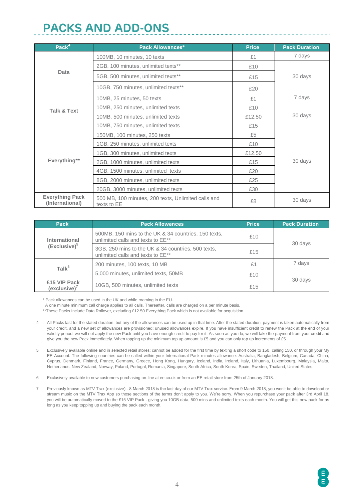### **PACKS AND ADD-ONS**

| Pack <sup>4</sup>                         | <b>Pack Allowances*</b>                                            | <b>Price</b> | <b>Pack Duration</b> |  |
|-------------------------------------------|--------------------------------------------------------------------|--------------|----------------------|--|
|                                           | 100MB, 10 minutes, 10 texts                                        | £1           | 7 days               |  |
| Data                                      | 2GB, 100 minutes, unlimited texts**                                | £10          |                      |  |
|                                           | 5GB, 500 minutes, unlimited texts**                                | £15          | 30 days              |  |
|                                           | 10GB, 750 minutes, unlimited texts**                               | £20          |                      |  |
|                                           | 10MB, 25 minutes, 50 texts                                         | £1           | 7 days               |  |
| <b>Talk &amp; Text</b>                    | 10MB, 250 minutes, unlimited texts                                 | £10          | 30 days              |  |
|                                           | 10MB, 500 minutes, unlimited texts                                 | £12.50       |                      |  |
|                                           | 10MB, 750 minutes, unlimited texts                                 | £15          |                      |  |
|                                           | 150MB, 100 minutes, 250 texts                                      | £5           |                      |  |
|                                           | 1GB, 250 minutes, unlimited texts                                  | £10          |                      |  |
|                                           | 1GB, 300 minutes, unlimited texts                                  | £12.50       |                      |  |
| Everything**                              | 2GB, 1000 minutes, unlimited texts                                 | £15          | 30 days              |  |
|                                           | 4GB, 1500 minutes, unlimited texts                                 | £20          |                      |  |
|                                           | 8GB, 2000 minutes, unlimited texts                                 | £25          |                      |  |
|                                           | 20GB, 3000 minutes, unlimited texts                                | £30          |                      |  |
| <b>Everything Pack</b><br>(International) | 500 MB, 100 minutes, 200 texts, Unlimited calls and<br>texts to EE | £8           | 30 days              |  |

| <b>Pack</b>                  | <b>Pack Allowances</b>                                                                              | <b>Price</b> | <b>Pack Duration</b> |  |
|------------------------------|-----------------------------------------------------------------------------------------------------|--------------|----------------------|--|
| International                | 500MB, 150 mins to the UK & 34 countries, 150 texts,<br>unlimited calls and texts to EE**           | £10          | 30 days              |  |
| (Exclusive) <sup>5</sup>     | 3GB, 250 mins to the UK & 34 countries, 500 texts,<br>unlimited calls and texts to EE <sup>**</sup> | £15          |                      |  |
| Talk <sup>6</sup>            | 200 minutes, 100 texts, 10 MB                                                                       | £1           | 7 days               |  |
|                              | 5,000 minutes, unlimited texts, 50MB                                                                | £10          |                      |  |
| £15 VIP Pack<br>(exclusive)' | 10GB, 500 minutes, unlimited texts                                                                  | £15          | 30 days              |  |

\* Pack allowances can be used in the UK and while roaming in the EU.

A one minute minimum call charge applies to all calls. Thereafter, calls are charged on a per minute basis.

\*\*These Packs Include Data Rollover, excluding £12.50 Everything Pack which is not available for acquisition.

- 4 All Packs last for the stated duration, but any of the allowances can be used up in that time. After the stated duration, payment is taken automatically from your credit, and a new set of allowances are provisioned; unused allowances expire. If you have insufficient credit to renew the Pack at the end of your validity period, we will not apply the new Pack until you have enough credit to pay for it. As soon as you do, we will take the payment from your credit and give you the new Pack immediately. When topping up the minimum top up amount is £5 and you can only top up increments of £5.
- 5 Exclusively available online and in selected retail stores; cannot be added for the first time by texting a short code to 150, calling 150, or through your My EE Account. The following countries can be called within your International Pack minutes allowance: Australia, Bangladesh, Belgium, Canada, China, Cyprus, Denmark, Finland, France, Germany, Greece, Hong Kong, Hungary, Iceland, India, Ireland, Italy, Lithuania, Luxembourg, Malaysia, Malta, Netherlands, New Zealand, Norway, Poland, Portugal, Romania, Singapore, South Africa, South Korea, Spain, Sweden, Thailand, United States.
- 6 Exclusively available to new customers purchasing on-line at ee.co.uk or from an EE retail store from 25th of January 2018.
- 7 Previously known as MTV Trax (exclusive) 8 March 2018 is the last day of our MTV Trax service. From 9 March 2018, you won't be able to download or stream music on the MTV Trax App so those sections of the terms don't apply to you. We're sorry. When you repurchase your pack after 3rd April 18, you will be automatically moved to the £15 VIP Pack - giving you 10GB data, 500 mins and unlimited texts each month. You will get this new pack for as long as you keep topping up and buying the pack each month.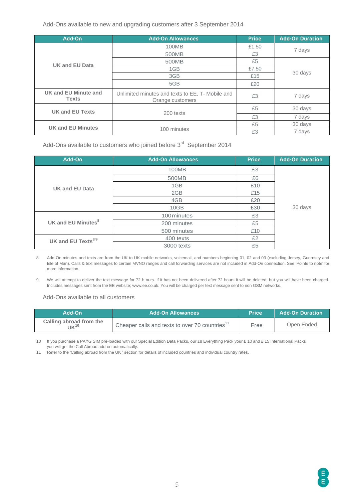Add-Ons available to new and upgrading customers after 3 September 2014

| Add-On                               | <b>Add-On Allowances</b>                                             | <b>Price</b> | <b>Add-On Duration</b> |
|--------------------------------------|----------------------------------------------------------------------|--------------|------------------------|
|                                      | 100MB                                                                | £1.50        |                        |
| UK and EU Data                       | 500MB                                                                | £3           | 7 days                 |
|                                      | 500MB                                                                | £5           |                        |
|                                      | 1GB                                                                  | £7.50        |                        |
|                                      | 3GB                                                                  | £15          | 30 days                |
|                                      | 5GB                                                                  | £20          |                        |
| UK and EU Minute and<br><b>Texts</b> | Unlimited minutes and texts to EE, T- Mobile and<br>Orange customers | £3           | 7 days                 |
| UK and EU Texts                      |                                                                      | £5           | 30 days                |
|                                      | 200 texts                                                            | £3           | 7 days                 |
| <b>UK and EU Minutes</b>             |                                                                      | £5           | 30 days                |
|                                      | 100 minutes                                                          | £3           | 7 days                 |

Add-Ons available to customers who joined before  $3<sup>rd</sup>$  September 2014

| Add-On                         | <b>Add-On Allowances</b> | <b>Price</b> | <b>Add-On Duration</b> |
|--------------------------------|--------------------------|--------------|------------------------|
|                                | 100MB                    | £3           |                        |
|                                | 500MB                    | £6           |                        |
| <b>UK and EU Data</b>          | 1GB                      | £10          |                        |
|                                | 2GB                      | £15          |                        |
|                                | 4GB                      | £20          |                        |
|                                | 10GB                     | £30          | 30 days                |
|                                | 100 minutes              | £3           |                        |
| UK and EU Minutes <sup>8</sup> | 200 minutes              | £5           |                        |
|                                | 500 minutes              | £10          |                        |
| UK and EU Texts <sup>8/9</sup> | 400 texts                | £2           |                        |
|                                | 3000 texts               | £5           |                        |

8 Add-On minutes and texts are from the UK to UK mobile networks, voicemail, and numbers beginning 01, 02 and 03 (excluding Jersey, Guernsey and Isle of Man). Calls & text messages to certain MVNO ranges and call forwarding services are not included in Add-On connection. See 'Points to note' for more information.

9 We will attempt to deliver the text message for 72 h ours. If it has not been delivered after 72 hours it will be deleted, but you will have been charged. Includes messages sent from the EE website; www.ee.co.uk. You will be charged per text message sent to non GSM networks.

Add-Ons available to all customers

| Add-On                               | Add-On Allowances                                          |      | <b>Add-On Duration</b> |
|--------------------------------------|------------------------------------------------------------|------|------------------------|
| Calling abroad from the<br>$VK^{10}$ | Cheaper calls and texts to over 70 countries <sup>11</sup> | Free | Open Ended             |

10 If you purchase a PAYG SIM pre-loaded with our Special Edition Data Packs, our £8 Everything Pack your £ 10 and £ 15 International Packs you will get the Call Abroad add-on automatically.

11 Refer to the 'Calling abroad from the UK ' section for details of included countries and individual country rates.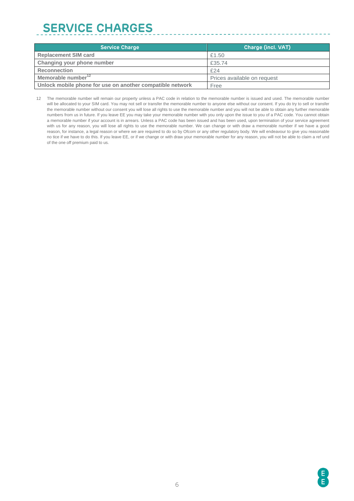## **SERVICE CHARGES**

| <b>Service Charge</b>                                     | Charge (incl. VAT)          |
|-----------------------------------------------------------|-----------------------------|
| <b>Replacement SIM card</b>                               | £1.50                       |
| Changing your phone number                                | £35.74                      |
| <b>Reconnection</b>                                       | £24                         |
| Memorable number <sup>12</sup>                            | Prices available on request |
| Unlock mobile phone for use on another compatible network | Free                        |

\_\_\_\_\_\_\_\_\_\_\_\_\_\_\_\_\_\_\_\_\_\_\_\_\_\_\_\_\_\_\_\_\_\_\_\_

12 The memorable number will remain our property unless a PAC code in relation to the memorable number is issued and used. The memorable number will be allocated to your SIM card. You may not sell or transfer the memorable number to anyone else without our consent. If you do try to sell or transfer the memorable number without our consent you will lose all rights to use the memorable number and you will not be able to obtain any further memorable numbers from us in future. If you leave EE you may take your memorable number with you only upon the issue to you of a PAC code. You cannot obtain a memorable number if your account is in arrears. Unless a PAC code has been issued and has been used, upon termination of your service agreement with us for any reason, you will lose all rights to use the memorable number. We can change or with draw a memorable number if we have a good reason, for instance, a legal reason or where we are required to do so by Ofcom or any other regulatory body. We will endeavour to give you reasonable no tice if we have to do this. If you leave EE, or if we change or with draw your memorable number for any reason, you will not be able to claim a ref und of the one off premium paid to us.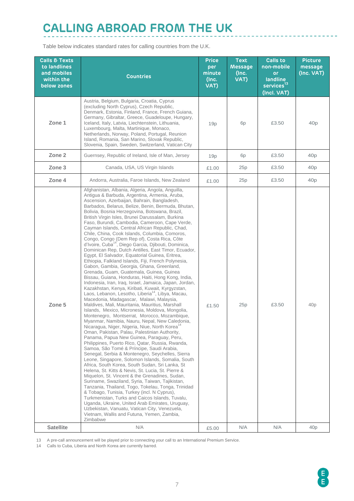### **CALLING ABROAD FROM THE UK**

Table below indicates standard rates for calling countries from the U.K.

| <b>Calls &amp; Texts</b><br>to landlines<br>and mobiles<br>within the<br>below zones | <b>Countries</b>                                                                                                                                                                                                                                                                                                                                                                                                                                                                                                                                                                                                                                                                                                                                                                                                                                                                                                                                                                                                                                                                                                                                                                                                                                                                                                                                                                                                                                                                                                                                                                                                                                                                                                                                                                                                                                                                                                                                                                                                                                                                                                                                                                                                                                    | <b>Price</b><br>per<br>minute<br>(Inc.<br>VAT) | <b>Text</b><br><b>Message</b><br>(Inc.<br>VAT) | <b>Calls to</b><br>non-mobile<br>or<br>landline<br>$s$ ervices $^{13}$<br>(Incl. VAT) | <b>Picture</b><br>message<br>(Inc. VAT) |
|--------------------------------------------------------------------------------------|-----------------------------------------------------------------------------------------------------------------------------------------------------------------------------------------------------------------------------------------------------------------------------------------------------------------------------------------------------------------------------------------------------------------------------------------------------------------------------------------------------------------------------------------------------------------------------------------------------------------------------------------------------------------------------------------------------------------------------------------------------------------------------------------------------------------------------------------------------------------------------------------------------------------------------------------------------------------------------------------------------------------------------------------------------------------------------------------------------------------------------------------------------------------------------------------------------------------------------------------------------------------------------------------------------------------------------------------------------------------------------------------------------------------------------------------------------------------------------------------------------------------------------------------------------------------------------------------------------------------------------------------------------------------------------------------------------------------------------------------------------------------------------------------------------------------------------------------------------------------------------------------------------------------------------------------------------------------------------------------------------------------------------------------------------------------------------------------------------------------------------------------------------------------------------------------------------------------------------------------------------|------------------------------------------------|------------------------------------------------|---------------------------------------------------------------------------------------|-----------------------------------------|
| Zone 1                                                                               | Austria, Belgium, Bulgaria, Croatia, Cyprus<br>(excluding North Cyprus), Czech Republic,<br>Denmark, Estonia, Finland, France, French Guiana,<br>Germany, Gibraltar, Greece, Guadeloupe, Hungary,<br>Iceland, Italy, Latvia, Liechtenstein, Lithuania,<br>Luxembourg, Malta, Martinique, Monaco,<br>Netherlands, Norway, Poland, Portugal, Reunion<br>Island, Romania, San Marino, Slovak Republic,<br>Slovenia, Spain, Sweden, Switzerland, Vatican City                                                                                                                                                                                                                                                                                                                                                                                                                                                                                                                                                                                                                                                                                                                                                                                                                                                                                                                                                                                                                                                                                                                                                                                                                                                                                                                                                                                                                                                                                                                                                                                                                                                                                                                                                                                           | 19p                                            | 6 <sub>p</sub>                                 | £3.50                                                                                 | 40p                                     |
| Zone 2                                                                               | Guernsey, Republic of Ireland, Isle of Man, Jersey                                                                                                                                                                                                                                                                                                                                                                                                                                                                                                                                                                                                                                                                                                                                                                                                                                                                                                                                                                                                                                                                                                                                                                                                                                                                                                                                                                                                                                                                                                                                                                                                                                                                                                                                                                                                                                                                                                                                                                                                                                                                                                                                                                                                  | 19p                                            | 6p                                             | £3.50                                                                                 | 40p                                     |
| Zone 3                                                                               | Canada, USA, US Virgin Islands                                                                                                                                                                                                                                                                                                                                                                                                                                                                                                                                                                                                                                                                                                                                                                                                                                                                                                                                                                                                                                                                                                                                                                                                                                                                                                                                                                                                                                                                                                                                                                                                                                                                                                                                                                                                                                                                                                                                                                                                                                                                                                                                                                                                                      | £1.00                                          | 25p                                            | £3.50                                                                                 | 40p                                     |
| Zone 4                                                                               | Andorra, Australia, Faroe Islands, New Zealand                                                                                                                                                                                                                                                                                                                                                                                                                                                                                                                                                                                                                                                                                                                                                                                                                                                                                                                                                                                                                                                                                                                                                                                                                                                                                                                                                                                                                                                                                                                                                                                                                                                                                                                                                                                                                                                                                                                                                                                                                                                                                                                                                                                                      | £1.00                                          | 25p                                            | £3.50                                                                                 | 40p                                     |
| Zone 5                                                                               | Afghanistan, Albania, Algeria, Angola, Anguilla,<br>Antigua & Barbuda, Argentina, Armenia, Aruba,<br>Ascension, Azerbaijan, Bahrain, Bangladesh,<br>Barbados, Belarus, Belize, Benin, Bermuda, Bhutan,<br>Bolivia, Bosnia Herzegovina, Botswana, Brazil,<br>British Virgin Isles, Brunei Darussalam, Burkina<br>Faso, Burundi, Cambodia, Cameroon, Cape Verde,<br>Cayman Islands, Central African Republic, Chad,<br>Chile, China, Cook Islands, Columbia, Comoros,<br>Congo, Congo (Dem Rep of), Costa Rica, Côte<br>d'Ivoire, Cuba <sup>14</sup> , Diego Garcia, Djibouti, Dominica,<br>Dominican Rep, Dutch Antilles, East Timor, Ecuador,<br>Egypt, El Salvador, Equatorial Guinea, Eritrea,<br>Ethiopia, Falkland Islands, Fiji, French Polynesia,<br>Gabon, Gambia, Georgia, Ghana, Greenland,<br>Grenada, Guam, Guatemala, Guinea, Guinea<br>Bissau, Guiana, Honduras, Haiti, Hong Kong, India,<br>Indonesia, Iran, Iraq, Israel, Jamaica, Japan, Jordan,<br>Kazakhstan, Kenya, Kiribati, Kuwait, Kyrgyzstan,<br>Laos, Lebanon, Lesotho, Liberia <sup>14</sup> , Libya, Macau,<br>Macedonia, Madagascar, Malawi, Malaysia,<br>Maldives, Mali, Mauritania, Mauritius, Marshall<br>Islands, Mexico, Micronesia, Moldova, Mongolia,<br>Montenegro, Montserrat, Morocco, Mozambique,<br>Myanmar, Namibia, Nauru, Nepal, New Caledonia,<br>Nicaragua, Niger, Nigeria, Niue, North Korea <sup>14</sup><br>Oman, Pakistan, Palau, Palestinian Authority,<br>Panama, Papua New Guinea, Paraguay, Peru,<br>Philippines, Puerto Rico, Qatar, Russia, Rwanda,<br>Samoa, São Tomé & Príncipe, Saudi Arabia,<br>Senegal, Serbia & Montenegro, Seychelles, Sierra<br>Leone, Singapore, Solomon Islands, Somalia, South<br>Africa, South Korea, South Sudan, Sri Lanka, St<br>Helena, St. Kitts & Nevis, St. Lucia, St. Pierre &<br>Miquelon, St. Vincent & the Grenadines, Sudan,<br>Suriname, Swaziland, Syria, Taiwan, Tajikistan,<br>Tanzania, Thailand, Togo, Tokelau, Tonga, Trinidad<br>& Tobago, Tunisia, Turkey (incl. N Cyprus),<br>Turkmenistan, Turks and Caicos Islands, Tuvalu,<br>Uganda, Ukraine, United Arab Emirates, Uruguay,<br>Uzbekistan, Vanuatu, Vatican City, Venezuela,<br>Vietnam, Wallis and Futuna, Yemen, Zambia,<br>Zimbabwe | £1.50                                          | 25p                                            | £3.50                                                                                 | 40p                                     |
| <b>Satellite</b>                                                                     | N/A                                                                                                                                                                                                                                                                                                                                                                                                                                                                                                                                                                                                                                                                                                                                                                                                                                                                                                                                                                                                                                                                                                                                                                                                                                                                                                                                                                                                                                                                                                                                                                                                                                                                                                                                                                                                                                                                                                                                                                                                                                                                                                                                                                                                                                                 | £5.00                                          | N/A                                            | N/A                                                                                   | 40 <sub>p</sub>                         |

13 A pre-call announcement will be played prior to connecting your call to an International Premium Service.

14 Calls to Cuba, Liberia and North Korea are currently barred.

 $\frac{1}{2}$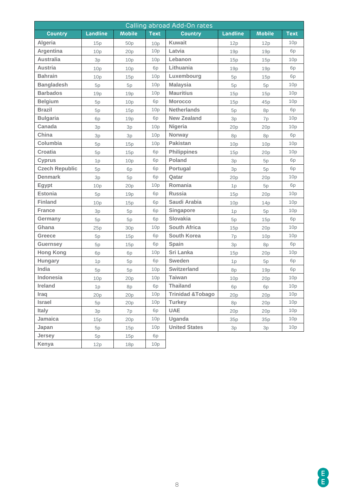| Calling abroad Add-On rates |                 |               |             |                              |          |               |                 |
|-----------------------------|-----------------|---------------|-------------|------------------------------|----------|---------------|-----------------|
| <b>Country</b>              | Landline        | <b>Mobile</b> | <b>Text</b> | <b>Country</b>               | Landline | <b>Mobile</b> | <b>Text</b>     |
| Algeria                     | 15p             | 50p           | 10p         | <b>Kuwait</b>                | 12p      | 12p           | 10p             |
| Argentina                   | 10 <sub>p</sub> | 20p           | 10p         | Latvia                       | 19p      | 19p           | 6p              |
| <b>Australia</b>            | 3p              | 10p           | 10p         | Lebanon                      | 15p      | 15p           | 10p             |
| <b>Austria</b>              | 10p             | 10p           | 6p          | Lithuania                    | 19p      | 19p           | 6p              |
| <b>Bahrain</b>              | 10p             | 15p           | 10p         | Luxembourg                   | 5p       | 15p           | 6p              |
| <b>Bangladesh</b>           | 5p              | 5p            | 10p         | <b>Malaysia</b>              | 5p       | 5p            | 10p             |
| <b>Barbados</b>             | 19p             | 19p           | 10p         | <b>Mauritius</b>             | 15p      | 15p           | 10p             |
| <b>Belgium</b>              | 5p              | 10p           | 6p          | <b>Morocco</b>               | 15p      | 45p           | 10 <sub>p</sub> |
| <b>Brazil</b>               | 5p              | 15p           | 10p         | <b>Netherlands</b>           | 5p       | 8p            | 6p              |
| <b>Bulgaria</b>             | 6p              | 19p           | 6p          | <b>New Zealand</b>           | 3p       | 7p            | 10p             |
| Canada                      | 3p              | 3p            | 10p         | <b>Nigeria</b>               | 20p      | 20p           | 10p             |
| China                       | 3p              | 3p            | 10p         | <b>Norway</b>                | 8p       | 8p            | 6p              |
| Columbia                    | 5p              | 15p           | 10p         | <b>Pakistan</b>              | 10p      | 10p           | 10p             |
| <b>Croatia</b>              | 5p              | 15p           | 6p          | <b>Philippines</b>           | 15p      | 20p           | 10p             |
| <b>Cyprus</b>               | 1p              | 10p           | 6p          | <b>Poland</b>                | 3p       | 5p            | 6p              |
| <b>Czech Republic</b>       | 5p              | 6p            | 6p          | Portugal                     | 3p       | 5p            | 6p              |
| <b>Denmark</b>              | 3p              | 5p            | 6p          | Qatar                        | 20p      | 20p           | 10p             |
| <b>Egypt</b>                | 10p             | 20p           | 10p         | Romania                      | 1p       | 5p            | 6p              |
| <b>Estonia</b>              | 5p              | 19p           | 6p          | <b>Russia</b>                | 15p      | 20p           | 10p             |
| <b>Finland</b>              | 10p             | 15p           | 6p          | Saudi Arabia                 | 10p      | 14p           | 10p             |
| <b>France</b>               | 3p              | 5p            | 6p          | Singapore                    | 1p       | 5p            | 10p             |
| Germany                     | 5p              | 5p            | 6p          | Slovakia                     | 5p       | 15p           | 6p              |
| Ghana                       | 25p             | 30p           | 10p         | <b>South Africa</b>          | 15p      | 20p           | 10p             |
| Greece                      | 5p              | 15p           | 6p          | <b>South Korea</b>           | 7p       | 10p           | 10p             |
| <b>Guernsey</b>             | 5p              | 15p           | 6p          | <b>Spain</b>                 | 3p       | 8p            | 6p              |
| <b>Hong Kong</b>            | 6p              | 6p            | 10p         | Sri Lanka                    | 15p      | 20p           | 10p             |
| <b>Hungary</b>              | 1p              | 5p            | 6p          | <b>Sweden</b>                | 1p       | 5p            | 6p              |
| India                       | 5p              | 5p            | 10p         | Switzerland                  | 8p       | 19p           | 6p              |
| Indonesia                   | 10p             | 20p           | 10p         | <b>Taiwan</b>                | 10p      | 20p           | 10p             |
| Ireland                     | 1p              | 8p            | 6p          | <b>Thailand</b>              | 6p       | 6p            | 10p             |
| Iraq                        | 20p             | 20p           | 10p         | <b>Trinidad &amp; Tobago</b> | 20p      | 20p           | 10 <sub>p</sub> |
| <b>Israel</b>               | 5p              | 20p           | 10p         | <b>Turkey</b>                | 8p       | 20p           | 10p             |
| <b>Italy</b>                | 3p              | 7p            | 6p          | <b>UAE</b>                   | 20p      | 20p           | 10p             |
| Jamaica                     | 15p             | 20p           | 10p         | Uganda                       | 35p      | 35p           | 10p             |
| Japan                       | 5p              | 15p           | 10p         | <b>United States</b>         | 3p       | 3p            | 10p             |
| <b>Jersey</b>               | 5p              | 15p           | 6p          |                              |          |               |                 |
| Kenya                       | 12p             | 18p           | 10p         |                              |          |               |                 |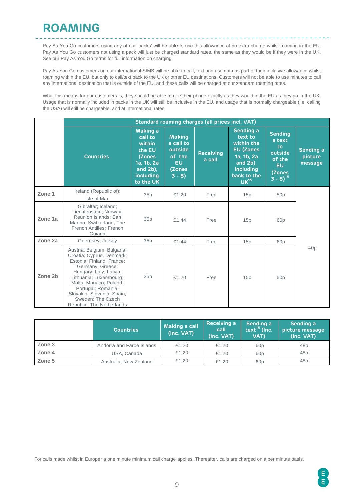### **ROAMING**

Pay As You Go customers using any of our 'packs' will be able to use this allowance at no extra charge whilst roaming in the EU. Pay As You Go customers not using a pack will just be charged standard rates, the same as they would be if they were in the UK. See our Pay As You Go terms for full information on charging.

\_\_\_\_\_\_\_\_\_\_\_\_\_\_\_\_\_\_\_\_\_\_\_\_\_\_\_\_\_\_\_\_

Pay As You Go customers on our international SIMS will be able to call, text and use data as part of their inclusive allowance whilst roaming within the EU, but only to call/text back to the UK or other EU destinations. Customers will not be able to use minutes to call any international destination that is outside of the EU, and these calls will be charged at our standard roaming rates.

What this means for our customers is, they should be able to use their phone exactly as they would in the EU as they do in the UK. Usage that is normally included in packs in the UK will still be inclusive in the EU, and usage that is normally chargeable (i.e calling the USA) will still be chargeable, and at international rates.

|         | Standard roaming charges (all prices incl. VAT)                                                                                                                                                                                                                                                |                                                                                                          |                                                                                   |                            |                                                                                                                                  |                                                                                                  |                                 |  |  |
|---------|------------------------------------------------------------------------------------------------------------------------------------------------------------------------------------------------------------------------------------------------------------------------------------------------|----------------------------------------------------------------------------------------------------------|-----------------------------------------------------------------------------------|----------------------------|----------------------------------------------------------------------------------------------------------------------------------|--------------------------------------------------------------------------------------------------|---------------------------------|--|--|
|         | <b>Countries</b>                                                                                                                                                                                                                                                                               | Making a<br>call to<br>within<br>the EU<br>(Zones<br>1a, 1b, 2a<br>and $2b$ ),<br>including<br>to the UK | <b>Making</b><br>a call to<br>outside<br>of the<br><b>EU</b><br>(Zones<br>$3 - 8$ | <b>Receiving</b><br>a call | Sending a<br>text to<br>within the<br><b>EU (Zones</b><br>1a, 1b, 2a<br>and 2b),<br>including<br>back to the<br>UK <sup>15</sup> | <b>Sending</b><br>a text<br>to<br>outside<br>of the<br><b>EU</b><br>(Zones<br>$(3 \cdot 8)^{15}$ | Sending a<br>picture<br>message |  |  |
| Zone 1  | Ireland (Republic of);<br>Isle of Man                                                                                                                                                                                                                                                          | 35p                                                                                                      | £1.20                                                                             | Free                       | 15p                                                                                                                              | 50 <sub>p</sub>                                                                                  |                                 |  |  |
| Zone 1a | Gibraltar; Iceland;<br>Liechtenstein; Norway;<br>Reunion Islands; San<br>Marino; Switzerland; The<br>French Antilles; French<br>Guiana                                                                                                                                                         | 35p                                                                                                      | £1.44                                                                             | Free                       | 15p                                                                                                                              | 60 <sub>p</sub>                                                                                  |                                 |  |  |
| Zone 2a | Guernsey: Jersey                                                                                                                                                                                                                                                                               | 35p                                                                                                      | £1.44                                                                             | Free                       | 15p                                                                                                                              | 60 <sub>p</sub>                                                                                  |                                 |  |  |
| Zone 2b | Austria; Belgium; Bulgaria;<br>Croatia; Cyprus; Denmark;<br>Estonia; Finland; France;<br>Germany; Greece;<br>Hungary; Italy; Latvia;<br>Lithuania; Luxembourg;<br>Malta; Monaco; Poland;<br>Portugal; Romania;<br>Slovakia; Slovenia; Spain;<br>Sweden: The Czech<br>Republic; The Netherlands | 35p                                                                                                      | £1.20                                                                             | Free                       | 15p                                                                                                                              | 50p                                                                                              | 40p                             |  |  |

|        | <b>Countries</b>          | Making a call<br>(Inc. VAT) | Receiving a<br>call<br>(Inc. VAT) | Sending a<br>text $^{15}$ (Inc.<br>VAT) | Sending a<br>picture message<br>(Inc. VAT) |
|--------|---------------------------|-----------------------------|-----------------------------------|-----------------------------------------|--------------------------------------------|
| Zone 3 | Andorra and Faroe Islands | £1.20                       | £1.20                             | 60p                                     | 48p                                        |
| Zone 4 | USA, Canada               | £1.20                       | £1.20                             | 60p                                     | 48p                                        |
| Zone 5 | Australia, New Zealand    | £1.20                       | £1.20                             | 60 <sub>p</sub>                         | 48p                                        |

For calls made whilst in Europe\* a one minute minimum call charge applies. Thereafter, calls are charged on a per minute basis.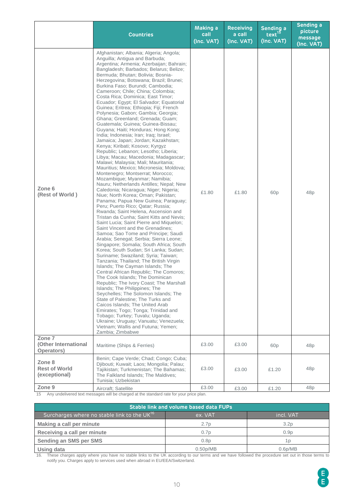|                                                 | <b>Countries</b>                                                                                                                                                                                                                                                                                                                                                                                                                                                                                                                                                                                                                                                                                                                                                                                                                                                                                                                                                                                                                                                                                                                                                                                                                                                                                                                                                                                                                                                                                                                                                                                                                                                                                                                                                                                                                                                                                                                                                                                                                                                                           | Making a<br>call<br>(Inc. VAT) | <b>Receiving</b><br>a call<br>(Inc. VAT) | Sending a<br>text <sup>15</sup><br>(Inc. VAT) | Sending a<br>picture<br>message<br>(Inc. VAT) |
|-------------------------------------------------|--------------------------------------------------------------------------------------------------------------------------------------------------------------------------------------------------------------------------------------------------------------------------------------------------------------------------------------------------------------------------------------------------------------------------------------------------------------------------------------------------------------------------------------------------------------------------------------------------------------------------------------------------------------------------------------------------------------------------------------------------------------------------------------------------------------------------------------------------------------------------------------------------------------------------------------------------------------------------------------------------------------------------------------------------------------------------------------------------------------------------------------------------------------------------------------------------------------------------------------------------------------------------------------------------------------------------------------------------------------------------------------------------------------------------------------------------------------------------------------------------------------------------------------------------------------------------------------------------------------------------------------------------------------------------------------------------------------------------------------------------------------------------------------------------------------------------------------------------------------------------------------------------------------------------------------------------------------------------------------------------------------------------------------------------------------------------------------------|--------------------------------|------------------------------------------|-----------------------------------------------|-----------------------------------------------|
| Zone 6<br>(Rest of World)                       | Afghanistan; Albania; Algeria; Angola;<br>Anguilla; Antigua and Barbuda;<br>Argentina; Armenia; Azerbaijan; Bahrain;<br>Bangladesh; Barbados; Belarus; Belize;<br>Bermuda; Bhutan; Bolivia; Bosnia-<br>Herzegovina; Botswana; Brazil; Brunei;<br>Burkina Faso; Burundi; Cambodia;<br>Cameroon; Chile; China; Colombia;<br>Costa Rica; Dominica; East Timor;<br>Ecuador; Egypt; El Salvador; Equatorial<br>Guinea; Eritrea; Ethiopia; Fiji; French<br>Polynesia; Gabon; Gambia; Georgia;<br>Ghana; Greenland; Grenada; Guam;<br>Guatemala; Guinea; Guinea-Bissau;<br>Guyana; Haiti; Honduras; Hong Kong;<br>India; Indonesia; Iran; Iraq; Israel;<br>Jamaica; Japan; Jordan; Kazakhstan;<br>Kenya; Kiribati; Kosovo; Kyrgyz<br>Republic; Lebanon; Lesotho; Liberia;<br>Libya; Macau; Macedonia; Madagascar;<br>Malawi; Malaysia; Mali; Mauritania;<br>Mauritius; Mexico; Micronesia; Moldova;<br>Montenegro; Montserrat; Morocco;<br>Mozambique; Myanmar; Namibia;<br>Nauru; Netherlands Antilles; Nepal; New<br>Caledonia: Nicaragua: Niger: Nigeria:<br>Niue; North Korea; Oman; Pakistan;<br>Panama; Papua New Guinea; Paraguay;<br>Peru; Puerto Rico; Qatar; Russia;<br>Rwanda; Saint Helena, Ascension and<br>Tristan da Cunha; Saint Kitts and Nevis;<br>Saint Lucia; Saint Pierre and Miquelon;<br>Saint Vincent and the Grenadines;<br>Samoa; Sao Tome and Principe; Saudi<br>Arabia; Senegal; Serbia; Sierra Leone;<br>Singapore; Somalia; South Africa; South<br>Korea; South Sudan; Sri Lanka; Sudan;<br>Suriname; Swaziland; Syria; Taiwan;<br>Tanzania; Thailand; The British Virgin<br>Islands; The Cayman Islands; The<br>Central African Republic; The Comoros;<br>The Cook Islands; The Dominican<br>Republic; The Ivory Coast; The Marshall<br>Islands; The Philippines; The<br>Seychelles; The Solomon Islands; The<br>State of Palestine: The Turks and<br>Caicos Islands: The United Arab<br>Emirates; Togo; Tonga; Trinidad and<br>Tobago; Turkey; Tuvalu; Uganda;<br>Ukraine; Uruguay; Vanuatu; Venezuela;<br>Vietnam; Wallis and Futuna; Yemen;<br>Zambia; Zimbabwe | £1.80                          | £1.80                                    | 60p                                           | 48p                                           |
| Zone 7<br>(Other International<br>Operators)    | Maritime (Ships & Ferries)                                                                                                                                                                                                                                                                                                                                                                                                                                                                                                                                                                                                                                                                                                                                                                                                                                                                                                                                                                                                                                                                                                                                                                                                                                                                                                                                                                                                                                                                                                                                                                                                                                                                                                                                                                                                                                                                                                                                                                                                                                                                 | £3.00                          | £3.00                                    | 60 <sub>p</sub>                               | 48p                                           |
| Zone 8<br><b>Rest of World</b><br>(exceptional) | Benin; Cape Verde; Chad; Congo; Cuba;<br>Djibouti; Kuwait; Laos; Mongolia; Palau;<br>Tajikistan; Turkmenistan; The Bahamas;<br>The Falkland Islands; The Maldives;<br>Tunisia; Uzbekistan                                                                                                                                                                                                                                                                                                                                                                                                                                                                                                                                                                                                                                                                                                                                                                                                                                                                                                                                                                                                                                                                                                                                                                                                                                                                                                                                                                                                                                                                                                                                                                                                                                                                                                                                                                                                                                                                                                  | £3.00                          | £3.00                                    | £1.20                                         | 48p                                           |
| Zone 9                                          | Aircraft; Satellite                                                                                                                                                                                                                                                                                                                                                                                                                                                                                                                                                                                                                                                                                                                                                                                                                                                                                                                                                                                                                                                                                                                                                                                                                                                                                                                                                                                                                                                                                                                                                                                                                                                                                                                                                                                                                                                                                                                                                                                                                                                                        | £3.00                          | £3.00                                    | £1.20                                         | 48p                                           |

15 Any undelivered text messages will be charged at the standard rate for your price plan.

| Stable link and volume based data FUPs                  |                       |                      |  |  |  |  |  |
|---------------------------------------------------------|-----------------------|----------------------|--|--|--|--|--|
| Surcharges where no stable link to the UK <sup>16</sup> | ex. VAT               | incl. VAT            |  |  |  |  |  |
| Making a call per minute                                | 2.7 <sub>p</sub>      | 3.2 <sub>D</sub>     |  |  |  |  |  |
| Receiving a call per minute                             | 0.7 <sub>D</sub>      | 0.9 <sub>D</sub>     |  |  |  |  |  |
| Sending an SMS per SMS                                  | 0.8 <sub>D</sub>      | 1p                   |  |  |  |  |  |
| Using data                                              | 0.50 <sub>p</sub> /MB | 0.6 <sub>p</sub> /MB |  |  |  |  |  |

16. These charges apply where you have no stable links to the UK according to our terms and we have followed the procedure set out in those terms to notify you. Charges apply to services used when abroad in EU/EEA/Switzerland.

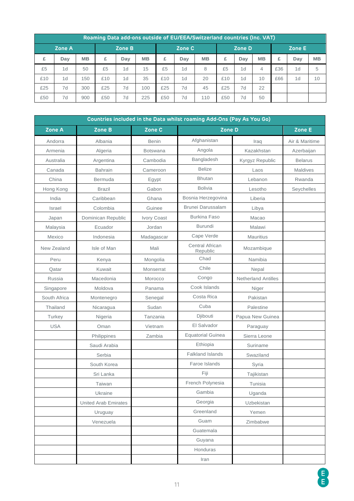| Roaming Data add-ons outside of EU/EEA/Switzerland countries (Inc. VAT) |        |           |        |                |           |     |        |           |     |        |           |     |     |           |
|-------------------------------------------------------------------------|--------|-----------|--------|----------------|-----------|-----|--------|-----------|-----|--------|-----------|-----|-----|-----------|
|                                                                         | Zone A |           | Zone B |                | Zone C    |     | Zone D |           |     | Zone E |           |     |     |           |
| £                                                                       | Day    | <b>MB</b> | £      | Day            | <b>MB</b> | £   | Dav    | <b>MB</b> | £   | Dav    | <b>MB</b> | £   | Day | <b>MB</b> |
| £5                                                                      | 1d     | 50        | £5     | 1d             | 15        | £5  | 1d     | 8         | £5  | 1d     | 4         | £36 | 1d  | 5         |
| £10                                                                     | 1d     | 150       | £10    | 1 <sub>d</sub> | 35        | £10 | 1d     | 20        | £10 | 1d     | 10        | £66 | 1d  | 10        |
| £25                                                                     | 7d     | 300       | £25    | 7d             | 100       | £25 | 7d     | 45        | £25 | 7d     | 22        |     |     |           |
| £50                                                                     | 7d     | 900       | £50    | 7d             | 225       | £50 | 7d     | 110       | £50 | 7d     | 50        |     |     |           |

| Countries included in the Data whilst roaming Add-Ons (Pay As You Go) |                             |                 |                             |                            |                |  |  |  |  |
|-----------------------------------------------------------------------|-----------------------------|-----------------|-----------------------------|----------------------------|----------------|--|--|--|--|
| Zone A                                                                | Zone B                      | Zone C          | Zone D                      |                            | Zone E         |  |  |  |  |
| Andorra                                                               | Albania                     | <b>Benin</b>    | Afghanistan                 | Iraq                       | Air & Maritime |  |  |  |  |
| Armenia                                                               | Algeria                     | <b>Botswana</b> | Angola                      | Kazakhstan                 | Azerbaijan     |  |  |  |  |
| Australia                                                             | Argentina                   | Cambodia        | Bangladesh                  | Kyrgyz Republic            | <b>Belarus</b> |  |  |  |  |
| Canada                                                                | <b>Bahrain</b>              | Cameroon        | <b>Belize</b>               | Laos                       | Maldives       |  |  |  |  |
| China                                                                 | Bermuda                     | Egypt           | <b>Bhutan</b>               | Lebanon                    | Rwanda         |  |  |  |  |
| Hong Kong                                                             | <b>Brazil</b>               | Gabon           | <b>Bolivia</b>              | Lesotho                    | Seychelles     |  |  |  |  |
| India                                                                 | Caribbean                   | Ghana           | Bosnia Herzegovina          | Liberia                    |                |  |  |  |  |
| Israel                                                                | Colombia                    | Guinee          | <b>Brunei Darussalam</b>    | Libya                      |                |  |  |  |  |
| Japan                                                                 | Dominican Republic          | Ivory Coast     | <b>Burkina Faso</b>         | Macao                      |                |  |  |  |  |
| Malaysia                                                              | Ecuador                     | Jordan          | Burundi                     | Malawi                     |                |  |  |  |  |
| Mexico                                                                | Indonesia                   | Madagascar      | Cape Verde                  | <b>Mauritius</b>           |                |  |  |  |  |
| New Zealand                                                           | Isle of Man                 | Mali            | Central African<br>Republic | Mozambique                 |                |  |  |  |  |
| Peru                                                                  | Kenya                       | Mongolia        | Chad                        | Namibia                    |                |  |  |  |  |
| Qatar                                                                 | Kuwait                      | Monserrat       | Chile                       | Nepal                      |                |  |  |  |  |
| Russia                                                                | Macedonia                   | Morocco         | Congo                       | <b>Netherland Antilles</b> |                |  |  |  |  |
| Singapore                                                             | Moldova                     | Panama          | Cook Islands                | Niger                      |                |  |  |  |  |
| South Africa                                                          | Montenegro                  | Senegal         | Costa Rica                  | Pakistan                   |                |  |  |  |  |
| Thailand                                                              | Nicaragua                   | Sudan           | Cuba                        | Palestine                  |                |  |  |  |  |
| Turkey                                                                | Nigeria                     | Tanzania        | Djibouti                    | Papua New Guinea           |                |  |  |  |  |
| <b>USA</b>                                                            | Oman                        | Vietnam         | El Salvador                 | Paraguay                   |                |  |  |  |  |
|                                                                       | Philippines                 | Zambia          | <b>Equatorial Guinea</b>    | Sierra Leone               |                |  |  |  |  |
|                                                                       | Saudi Arabia                |                 | Ethiopia                    | Suriname                   |                |  |  |  |  |
|                                                                       | Serbia                      |                 | <b>Falkland Islands</b>     | Swaziland                  |                |  |  |  |  |
|                                                                       | South Korea                 |                 | Faroe Islands               | Syria                      |                |  |  |  |  |
|                                                                       | Sri Lanka                   |                 | Fiji                        | Tajikistan                 |                |  |  |  |  |
|                                                                       | Taiwan                      |                 | French Polynesia            | Tunisia                    |                |  |  |  |  |
|                                                                       | Ukraine                     |                 | Gambia                      | Uganda                     |                |  |  |  |  |
|                                                                       | <b>United Arab Emirates</b> |                 | Georgia                     | Uzbekistan                 |                |  |  |  |  |
|                                                                       | Uruguay                     |                 | Greenland                   | Yemen                      |                |  |  |  |  |
|                                                                       | Venezuela                   |                 | Guam                        | Zimbabwe                   |                |  |  |  |  |
|                                                                       |                             |                 | Guatemala                   |                            |                |  |  |  |  |
|                                                                       |                             |                 | Guyana                      |                            |                |  |  |  |  |
|                                                                       |                             |                 | Honduras                    |                            |                |  |  |  |  |
|                                                                       |                             |                 | Iran                        |                            |                |  |  |  |  |